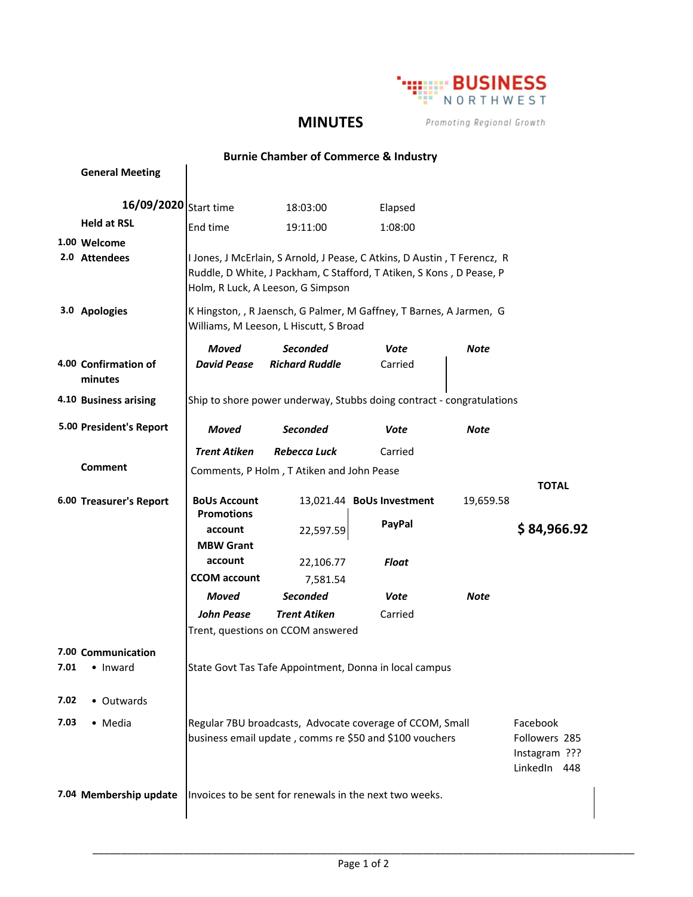

## **MINUTES**

Promoting Regional Growth

## **Burnie Chamber of Commerce & Industry**

|      | <b>General Meeting</b>  |                                                                                                                                                  |                                   |                                                                          |           |               |  |
|------|-------------------------|--------------------------------------------------------------------------------------------------------------------------------------------------|-----------------------------------|--------------------------------------------------------------------------|-----------|---------------|--|
|      | 16/09/2020 Start time   |                                                                                                                                                  | 18:03:00                          | Elapsed                                                                  |           |               |  |
|      | <b>Held at RSL</b>      | End time                                                                                                                                         | 19:11:00                          | 1:08:00                                                                  |           |               |  |
|      | 1.00 Welcome            |                                                                                                                                                  |                                   |                                                                          |           |               |  |
|      | 2.0 Attendees           |                                                                                                                                                  |                                   | I Jones, J McErlain, S Arnold, J Pease, C Atkins, D Austin, T Ferencz, R |           |               |  |
|      |                         |                                                                                                                                                  | Holm, R Luck, A Leeson, G Simpson | Ruddle, D White, J Packham, C Stafford, T Atiken, S Kons, D Pease, P     |           |               |  |
|      | 3.0 Apologies           | K Hingston, , R Jaensch, G Palmer, M Gaffney, T Barnes, A Jarmen, G<br>Williams, M Leeson, L Hiscutt, S Broad                                    |                                   |                                                                          |           |               |  |
|      |                         | Moved                                                                                                                                            | <b>Seconded</b>                   | Vote                                                                     | Note      |               |  |
|      | 4.00 Confirmation of    | <b>David Pease</b>                                                                                                                               | <b>Richard Ruddle</b>             | Carried                                                                  |           |               |  |
|      | minutes                 |                                                                                                                                                  |                                   |                                                                          |           |               |  |
|      | 4.10 Business arising   | Ship to shore power underway, Stubbs doing contract - congratulations                                                                            |                                   |                                                                          |           |               |  |
|      | 5.00 President's Report | <b>Moved</b>                                                                                                                                     | <b>Seconded</b>                   | Vote                                                                     | Note      |               |  |
|      |                         | <b>Trent Atiken</b>                                                                                                                              | <b>Rebecca Luck</b>               | Carried                                                                  |           |               |  |
|      | Comment                 | Comments, P Holm, T Atiken and John Pease                                                                                                        |                                   |                                                                          |           |               |  |
|      |                         |                                                                                                                                                  |                                   |                                                                          |           | <b>TOTAL</b>  |  |
|      | 6.00 Treasurer's Report | <b>BoUs Account</b><br><b>Promotions</b>                                                                                                         |                                   | 13,021.44 BoUs Investment                                                | 19,659.58 |               |  |
|      |                         | account                                                                                                                                          | 22,597.59                         | PayPal                                                                   |           | \$84,966.92   |  |
|      |                         | <b>MBW Grant</b>                                                                                                                                 |                                   |                                                                          |           |               |  |
|      |                         | account                                                                                                                                          | 22,106.77                         | <b>Float</b>                                                             |           |               |  |
|      |                         | <b>CCOM</b> account                                                                                                                              | 7,581.54                          |                                                                          |           |               |  |
|      |                         | <b>Moved</b>                                                                                                                                     | <b>Seconded</b>                   | Vote                                                                     | Note      |               |  |
|      |                         | <b>John Pease</b>                                                                                                                                | <b>Trent Atiken</b>               | Carried                                                                  |           |               |  |
|      |                         |                                                                                                                                                  | Trent, questions on CCOM answered |                                                                          |           |               |  |
|      | 7.00 Communication      |                                                                                                                                                  |                                   |                                                                          |           |               |  |
| 7.01 | • Inward                | State Govt Tas Tafe Appointment, Donna in local campus                                                                                           |                                   |                                                                          |           |               |  |
| 7.02 | • Outwards              |                                                                                                                                                  |                                   |                                                                          |           |               |  |
| 7.03 |                         |                                                                                                                                                  |                                   |                                                                          |           |               |  |
|      | • Media                 | Regular 7BU broadcasts, Advocate coverage of CCOM, Small<br>Facebook<br>business email update, comms re \$50 and \$100 vouchers<br>Followers 285 |                                   |                                                                          |           |               |  |
|      |                         |                                                                                                                                                  |                                   |                                                                          |           | Instagram ??? |  |
|      |                         |                                                                                                                                                  |                                   |                                                                          |           |               |  |
|      |                         |                                                                                                                                                  |                                   |                                                                          |           | LinkedIn 448  |  |